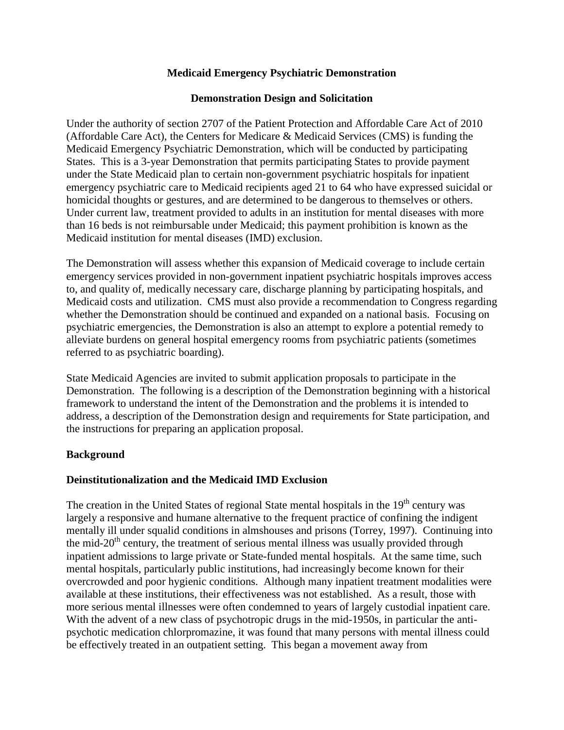### **Medicaid Emergency Psychiatric Demonstration**

#### **Demonstration Design and Solicitation**

Under the authority of section 2707 of the Patient Protection and Affordable Care Act of 2010 (Affordable Care Act), the Centers for Medicare & Medicaid Services (CMS) is funding the Medicaid Emergency Psychiatric Demonstration, which will be conducted by participating States. This is a 3-year Demonstration that permits participating States to provide payment under the State Medicaid plan to certain non-government psychiatric hospitals for inpatient emergency psychiatric care to Medicaid recipients aged 21 to 64 who have expressed suicidal or homicidal thoughts or gestures, and are determined to be dangerous to themselves or others. Under current law, treatment provided to adults in an institution for mental diseases with more than 16 beds is not reimbursable under Medicaid; this payment prohibition is known as the Medicaid institution for mental diseases (IMD) exclusion.

The Demonstration will assess whether this expansion of Medicaid coverage to include certain emergency services provided in non-government inpatient psychiatric hospitals improves access to, and quality of, medically necessary care, discharge planning by participating hospitals, and Medicaid costs and utilization. CMS must also provide a recommendation to Congress regarding whether the Demonstration should be continued and expanded on a national basis. Focusing on psychiatric emergencies, the Demonstration is also an attempt to explore a potential remedy to alleviate burdens on general hospital emergency rooms from psychiatric patients (sometimes referred to as psychiatric boarding).

State Medicaid Agencies are invited to submit application proposals to participate in the Demonstration. The following is a description of the Demonstration beginning with a historical framework to understand the intent of the Demonstration and the problems it is intended to address, a description of the Demonstration design and requirements for State participation, and the instructions for preparing an application proposal.

#### **Background**

### **Deinstitutionalization and the Medicaid IMD Exclusion**

The creation in the United States of regional State mental hospitals in the  $19<sup>th</sup>$  century was largely a responsive and humane alternative to the frequent practice of confining the indigent mentally ill under squalid conditions in almshouses and prisons (Torrey, 1997). Continuing into the mid- $20<sup>th</sup>$  century, the treatment of serious mental illness was usually provided through inpatient admissions to large private or State-funded mental hospitals. At the same time, such mental hospitals, particularly public institutions, had increasingly become known for their overcrowded and poor hygienic conditions. Although many inpatient treatment modalities were available at these institutions, their effectiveness was not established. As a result, those with more serious mental illnesses were often condemned to years of largely custodial inpatient care. With the advent of a new class of psychotropic drugs in the mid-1950s, in particular the antipsychotic medication chlorpromazine, it was found that many persons with mental illness could be effectively treated in an outpatient setting. This began a movement away from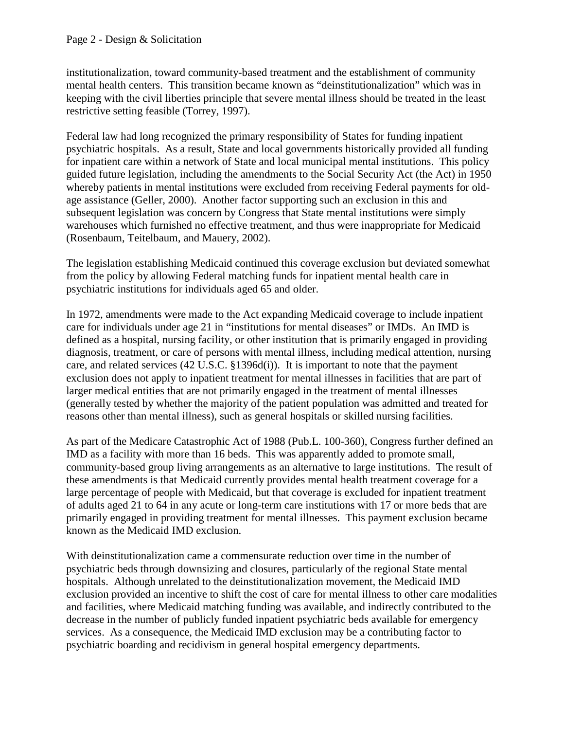institutionalization, toward community-based treatment and the establishment of community mental health centers. This transition became known as "deinstitutionalization" which was in keeping with the civil liberties principle that severe mental illness should be treated in the least restrictive setting feasible (Torrey, 1997).

Federal law had long recognized the primary responsibility of States for funding inpatient psychiatric hospitals. As a result, State and local governments historically provided all funding for inpatient care within a network of State and local municipal mental institutions. This policy guided future legislation, including the amendments to the Social Security Act (the Act) in 1950 whereby patients in mental institutions were excluded from receiving Federal payments for oldage assistance (Geller, 2000). Another factor supporting such an exclusion in this and subsequent legislation was concern by Congress that State mental institutions were simply warehouses which furnished no effective treatment, and thus were inappropriate for Medicaid (Rosenbaum, Teitelbaum, and Mauery, 2002).

The legislation establishing Medicaid continued this coverage exclusion but deviated somewhat from the policy by allowing Federal matching funds for inpatient mental health care in psychiatric institutions for individuals aged 65 and older.

In 1972, amendments were made to the Act expanding Medicaid coverage to include inpatient care for individuals under age 21 in "institutions for mental diseases" or IMDs. An IMD is defined as a hospital, nursing facility, or other institution that is primarily engaged in providing diagnosis, treatment, or care of persons with mental illness, including medical attention, nursing care, and related services (42 U.S.C. §1396d(i)). It is important to note that the payment exclusion does not apply to inpatient treatment for mental illnesses in facilities that are part of larger medical entities that are not primarily engaged in the treatment of mental illnesses (generally tested by whether the majority of the patient population was admitted and treated for reasons other than mental illness), such as general hospitals or skilled nursing facilities.

As part of the Medicare Catastrophic Act of 1988 (Pub.L. 100-360), Congress further defined an IMD as a facility with more than 16 beds. This was apparently added to promote small, community-based group living arrangements as an alternative to large institutions. The result of these amendments is that Medicaid currently provides mental health treatment coverage for a large percentage of people with Medicaid, but that coverage is excluded for inpatient treatment of adults aged 21 to 64 in any acute or long-term care institutions with 17 or more beds that are primarily engaged in providing treatment for mental illnesses. This payment exclusion became known as the Medicaid IMD exclusion.

With deinstitutionalization came a commensurate reduction over time in the number of psychiatric beds through downsizing and closures, particularly of the regional State mental hospitals. Although unrelated to the deinstitutionalization movement, the Medicaid IMD exclusion provided an incentive to shift the cost of care for mental illness to other care modalities and facilities, where Medicaid matching funding was available, and indirectly contributed to the decrease in the number of publicly funded inpatient psychiatric beds available for emergency services. As a consequence, the Medicaid IMD exclusion may be a contributing factor to psychiatric boarding and recidivism in general hospital emergency departments.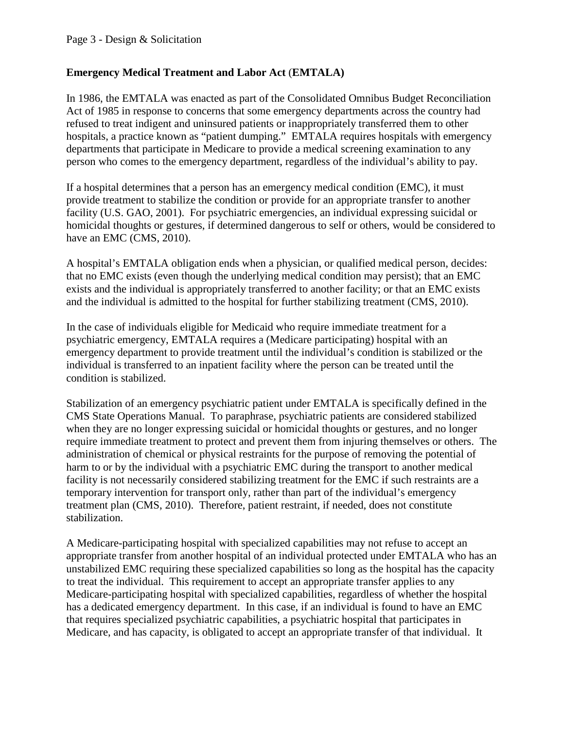## **Emergency Medical Treatment and Labor Act** (**EMTALA)**

In 1986, the EMTALA was enacted as part of the Consolidated Omnibus Budget Reconciliation Act of 1985 in response to concerns that some emergency departments across the country had refused to treat indigent and uninsured patients or inappropriately transferred them to other hospitals, a practice known as "patient dumping." EMTALA requires hospitals with emergency departments that participate in Medicare to provide a medical screening examination to any person who comes to the emergency department, regardless of the individual's ability to pay.

If a hospital determines that a person has an emergency medical condition (EMC), it must provide treatment to stabilize the condition or provide for an appropriate transfer to another facility (U.S. GAO, 2001). For psychiatric emergencies, an individual expressing suicidal or homicidal thoughts or gestures, if determined dangerous to self or others, would be considered to have an EMC (CMS, 2010).

A hospital's EMTALA obligation ends when a physician, or qualified medical person, decides: that no EMC exists (even though the underlying medical condition may persist); that an EMC exists and the individual is appropriately transferred to another facility; or that an EMC exists and the individual is admitted to the hospital for further stabilizing treatment (CMS, 2010).

In the case of individuals eligible for Medicaid who require immediate treatment for a psychiatric emergency, EMTALA requires a (Medicare participating) hospital with an emergency department to provide treatment until the individual's condition is stabilized or the individual is transferred to an inpatient facility where the person can be treated until the condition is stabilized.

Stabilization of an emergency psychiatric patient under EMTALA is specifically defined in the CMS State Operations Manual. To paraphrase, psychiatric patients are considered stabilized when they are no longer expressing suicidal or homicidal thoughts or gestures, and no longer require immediate treatment to protect and prevent them from injuring themselves or others. The administration of chemical or physical restraints for the purpose of removing the potential of harm to or by the individual with a psychiatric EMC during the transport to another medical facility is not necessarily considered stabilizing treatment for the EMC if such restraints are a temporary intervention for transport only, rather than part of the individual's emergency treatment plan (CMS, 2010). Therefore, patient restraint, if needed, does not constitute stabilization.

A Medicare-participating hospital with specialized capabilities may not refuse to accept an appropriate transfer from another hospital of an individual protected under EMTALA who has an unstabilized EMC requiring these specialized capabilities so long as the hospital has the capacity to treat the individual. This requirement to accept an appropriate transfer applies to any Medicare-participating hospital with specialized capabilities, regardless of whether the hospital has a dedicated emergency department. In this case, if an individual is found to have an EMC that requires specialized psychiatric capabilities, a psychiatric hospital that participates in Medicare, and has capacity, is obligated to accept an appropriate transfer of that individual. It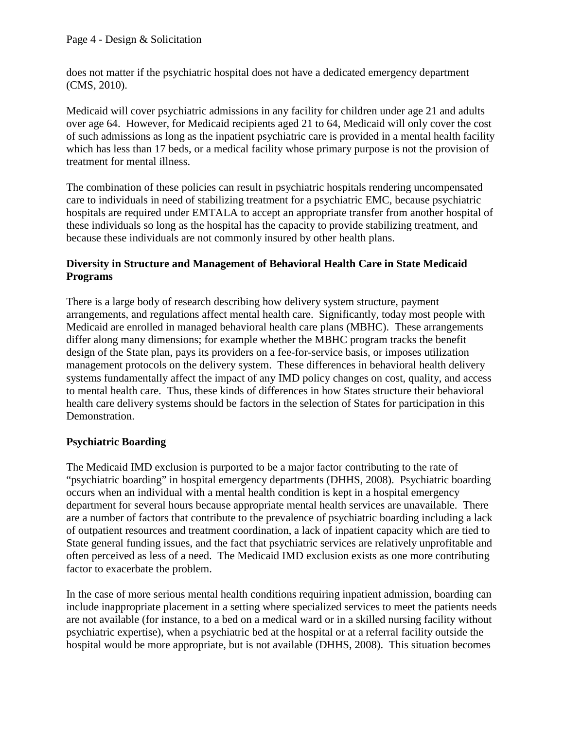does not matter if the psychiatric hospital does not have a dedicated emergency department (CMS, 2010).

Medicaid will cover psychiatric admissions in any facility for children under age 21 and adults over age 64. However, for Medicaid recipients aged 21 to 64, Medicaid will only cover the cost of such admissions as long as the inpatient psychiatric care is provided in a mental health facility which has less than 17 beds, or a medical facility whose primary purpose is not the provision of treatment for mental illness.

The combination of these policies can result in psychiatric hospitals rendering uncompensated care to individuals in need of stabilizing treatment for a psychiatric EMC, because psychiatric hospitals are required under EMTALA to accept an appropriate transfer from another hospital of these individuals so long as the hospital has the capacity to provide stabilizing treatment, and because these individuals are not commonly insured by other health plans.

## **Diversity in Structure and Management of Behavioral Health Care in State Medicaid Programs**

There is a large body of research describing how delivery system structure, payment arrangements, and regulations affect mental health care. Significantly, today most people with Medicaid are enrolled in managed behavioral health care plans (MBHC). These arrangements differ along many dimensions; for example whether the MBHC program tracks the benefit design of the State plan, pays its providers on a fee-for-service basis, or imposes utilization management protocols on the delivery system. These differences in behavioral health delivery systems fundamentally affect the impact of any IMD policy changes on cost, quality, and access to mental health care. Thus, these kinds of differences in how States structure their behavioral health care delivery systems should be factors in the selection of States for participation in this Demonstration.

## **Psychiatric Boarding**

The Medicaid IMD exclusion is purported to be a major factor contributing to the rate of "psychiatric boarding" in hospital emergency departments (DHHS, 2008). Psychiatric boarding occurs when an individual with a mental health condition is kept in a hospital emergency department for several hours because appropriate mental health services are unavailable. There are a number of factors that contribute to the prevalence of psychiatric boarding including a lack of outpatient resources and treatment coordination, a lack of inpatient capacity which are tied to State general funding issues, and the fact that psychiatric services are relatively unprofitable and often perceived as less of a need. The Medicaid IMD exclusion exists as one more contributing factor to exacerbate the problem.

In the case of more serious mental health conditions requiring inpatient admission, boarding can include inappropriate placement in a setting where specialized services to meet the patients needs are not available (for instance, to a bed on a medical ward or in a skilled nursing facility without psychiatric expertise), when a psychiatric bed at the hospital or at a referral facility outside the hospital would be more appropriate, but is not available (DHHS, 2008). This situation becomes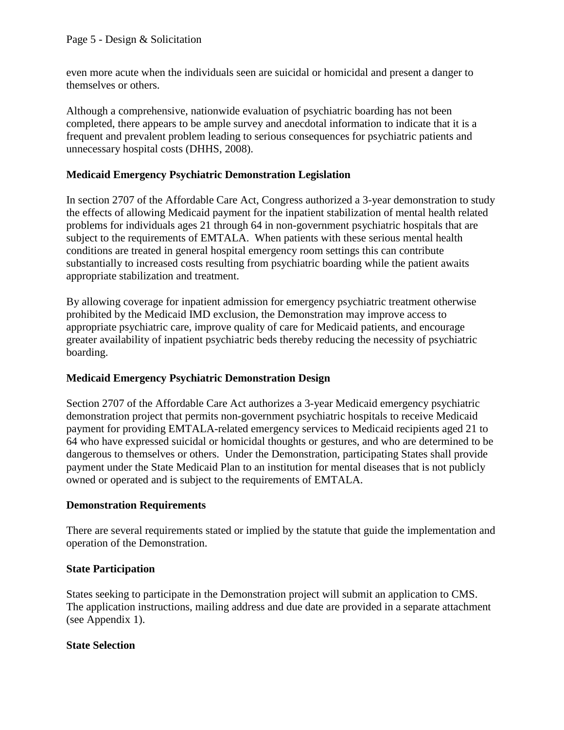even more acute when the individuals seen are suicidal or homicidal and present a danger to themselves or others.

Although a comprehensive, nationwide evaluation of psychiatric boarding has not been completed, there appears to be ample survey and anecdotal information to indicate that it is a frequent and prevalent problem leading to serious consequences for psychiatric patients and unnecessary hospital costs (DHHS, 2008).

## **Medicaid Emergency Psychiatric Demonstration Legislation**

In section 2707 of the Affordable Care Act, Congress authorized a 3-year demonstration to study the effects of allowing Medicaid payment for the inpatient stabilization of mental health related problems for individuals ages 21 through 64 in non-government psychiatric hospitals that are subject to the requirements of EMTALA. When patients with these serious mental health conditions are treated in general hospital emergency room settings this can contribute substantially to increased costs resulting from psychiatric boarding while the patient awaits appropriate stabilization and treatment.

By allowing coverage for inpatient admission for emergency psychiatric treatment otherwise prohibited by the Medicaid IMD exclusion, the Demonstration may improve access to appropriate psychiatric care, improve quality of care for Medicaid patients, and encourage greater availability of inpatient psychiatric beds thereby reducing the necessity of psychiatric boarding.

## **Medicaid Emergency Psychiatric Demonstration Design**

Section 2707 of the Affordable Care Act authorizes a 3-year Medicaid emergency psychiatric demonstration project that permits non-government psychiatric hospitals to receive Medicaid payment for providing EMTALA-related emergency services to Medicaid recipients aged 21 to 64 who have expressed suicidal or homicidal thoughts or gestures, and who are determined to be dangerous to themselves or others. Under the Demonstration, participating States shall provide payment under the State Medicaid Plan to an institution for mental diseases that is not publicly owned or operated and is subject to the requirements of EMTALA.

### **Demonstration Requirements**

There are several requirements stated or implied by the statute that guide the implementation and operation of the Demonstration.

### **State Participation**

States seeking to participate in the Demonstration project will submit an application to CMS. The application instructions, mailing address and due date are provided in a separate attachment (see Appendix 1).

### **State Selection**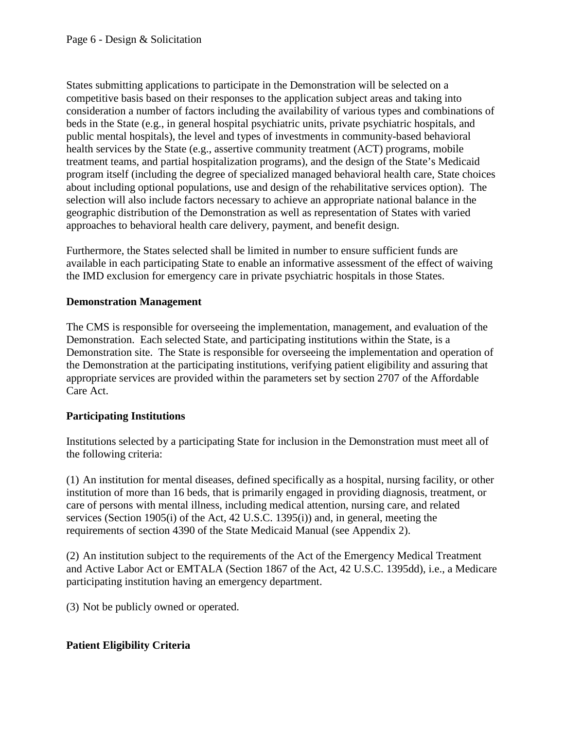States submitting applications to participate in the Demonstration will be selected on a competitive basis based on their responses to the application subject areas and taking into consideration a number of factors including the availability of various types and combinations of beds in the State (e.g., in general hospital psychiatric units, private psychiatric hospitals, and public mental hospitals), the level and types of investments in community-based behavioral health services by the State (e.g., assertive community treatment (ACT) programs, mobile treatment teams, and partial hospitalization programs), and the design of the State's Medicaid program itself (including the degree of specialized managed behavioral health care, State choices about including optional populations, use and design of the rehabilitative services option). The selection will also include factors necessary to achieve an appropriate national balance in the geographic distribution of the Demonstration as well as representation of States with varied approaches to behavioral health care delivery, payment, and benefit design.

Furthermore, the States selected shall be limited in number to ensure sufficient funds are available in each participating State to enable an informative assessment of the effect of waiving the IMD exclusion for emergency care in private psychiatric hospitals in those States.

## **Demonstration Management**

The CMS is responsible for overseeing the implementation, management, and evaluation of the Demonstration. Each selected State, and participating institutions within the State, is a Demonstration site. The State is responsible for overseeing the implementation and operation of the Demonstration at the participating institutions, verifying patient eligibility and assuring that appropriate services are provided within the parameters set by section 2707 of the Affordable Care Act.

### **Participating Institutions**

Institutions selected by a participating State for inclusion in the Demonstration must meet all of the following criteria:

(1) An institution for mental diseases, defined specifically as a hospital, nursing facility, or other institution of more than 16 beds, that is primarily engaged in providing diagnosis, treatment, or care of persons with mental illness, including medical attention, nursing care, and related services (Section 1905(i) of the Act, 42 U.S.C. 1395(i)) and, in general, meeting the requirements of section 4390 of the State Medicaid Manual (see Appendix 2).

(2) An institution subject to the requirements of the Act of the Emergency Medical Treatment and Active Labor Act or EMTALA (Section 1867 of the Act, 42 U.S.C. 1395dd), i.e., a Medicare participating institution having an emergency department.

(3) Not be publicly owned or operated.

### **Patient Eligibility Criteria**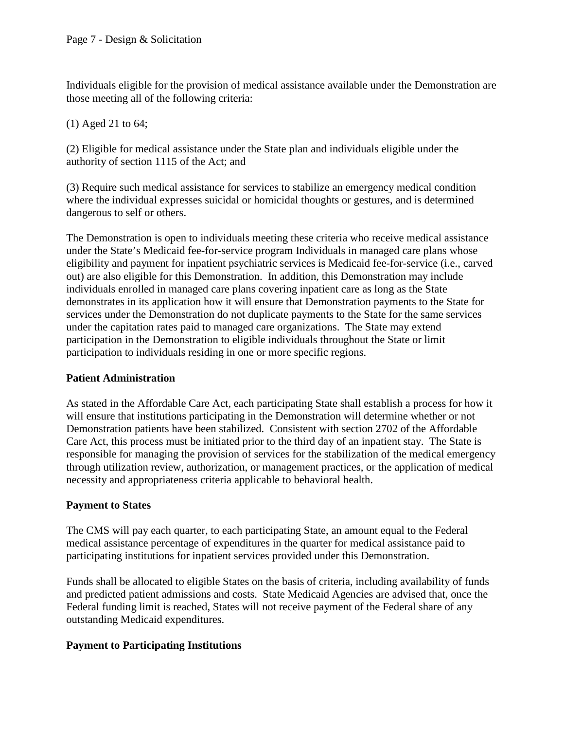Individuals eligible for the provision of medical assistance available under the Demonstration are those meeting all of the following criteria:

(1) Aged 21 to 64;

(2) Eligible for medical assistance under the State plan and individuals eligible under the authority of section 1115 of the Act; and

(3) Require such medical assistance for services to stabilize an emergency medical condition where the individual expresses suicidal or homicidal thoughts or gestures, and is determined dangerous to self or others.

The Demonstration is open to individuals meeting these criteria who receive medical assistance under the State's Medicaid fee-for-service program Individuals in managed care plans whose eligibility and payment for inpatient psychiatric services is Medicaid fee-for-service (i.e., carved out) are also eligible for this Demonstration. In addition, this Demonstration may include individuals enrolled in managed care plans covering inpatient care as long as the State demonstrates in its application how it will ensure that Demonstration payments to the State for services under the Demonstration do not duplicate payments to the State for the same services under the capitation rates paid to managed care organizations. The State may extend participation in the Demonstration to eligible individuals throughout the State or limit participation to individuals residing in one or more specific regions.

## **Patient Administration**

As stated in the Affordable Care Act, each participating State shall establish a process for how it will ensure that institutions participating in the Demonstration will determine whether or not Demonstration patients have been stabilized. Consistent with section 2702 of the Affordable Care Act, this process must be initiated prior to the third day of an inpatient stay. The State is responsible for managing the provision of services for the stabilization of the medical emergency through utilization review, authorization, or management practices, or the application of medical necessity and appropriateness criteria applicable to behavioral health.

## **Payment to States**

The CMS will pay each quarter, to each participating State, an amount equal to the Federal medical assistance percentage of expenditures in the quarter for medical assistance paid to participating institutions for inpatient services provided under this Demonstration.

Funds shall be allocated to eligible States on the basis of criteria, including availability of funds and predicted patient admissions and costs. State Medicaid Agencies are advised that, once the Federal funding limit is reached, States will not receive payment of the Federal share of any outstanding Medicaid expenditures.

### **Payment to Participating Institutions**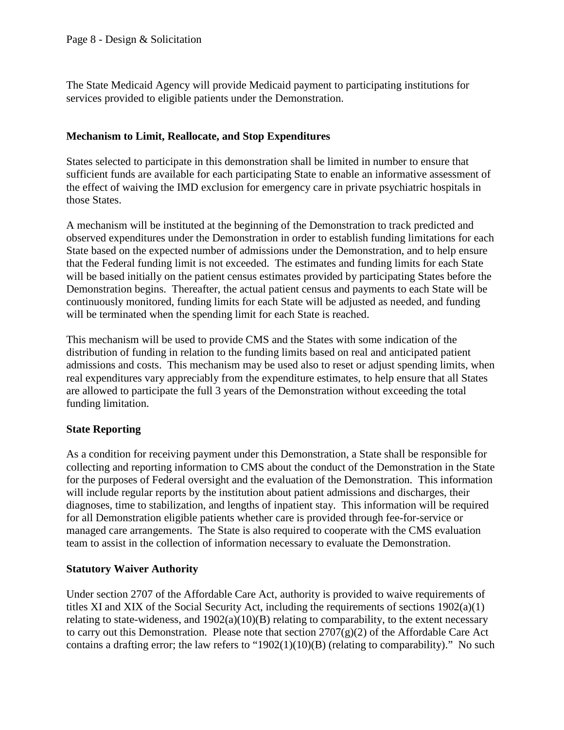The State Medicaid Agency will provide Medicaid payment to participating institutions for services provided to eligible patients under the Demonstration.

### **Mechanism to Limit, Reallocate, and Stop Expenditures**

States selected to participate in this demonstration shall be limited in number to ensure that sufficient funds are available for each participating State to enable an informative assessment of the effect of waiving the IMD exclusion for emergency care in private psychiatric hospitals in those States.

A mechanism will be instituted at the beginning of the Demonstration to track predicted and observed expenditures under the Demonstration in order to establish funding limitations for each State based on the expected number of admissions under the Demonstration, and to help ensure that the Federal funding limit is not exceeded. The estimates and funding limits for each State will be based initially on the patient census estimates provided by participating States before the Demonstration begins. Thereafter, the actual patient census and payments to each State will be continuously monitored, funding limits for each State will be adjusted as needed, and funding will be terminated when the spending limit for each State is reached.

This mechanism will be used to provide CMS and the States with some indication of the distribution of funding in relation to the funding limits based on real and anticipated patient admissions and costs. This mechanism may be used also to reset or adjust spending limits, when real expenditures vary appreciably from the expenditure estimates, to help ensure that all States are allowed to participate the full 3 years of the Demonstration without exceeding the total funding limitation.

### **State Reporting**

As a condition for receiving payment under this Demonstration, a State shall be responsible for collecting and reporting information to CMS about the conduct of the Demonstration in the State for the purposes of Federal oversight and the evaluation of the Demonstration. This information will include regular reports by the institution about patient admissions and discharges, their diagnoses, time to stabilization, and lengths of inpatient stay. This information will be required for all Demonstration eligible patients whether care is provided through fee-for-service or managed care arrangements. The State is also required to cooperate with the CMS evaluation team to assist in the collection of information necessary to evaluate the Demonstration.

### **Statutory Waiver Authority**

Under section 2707 of the Affordable Care Act, authority is provided to waive requirements of titles XI and XIX of the Social Security Act, including the requirements of sections 1902(a)(1) relating to state-wideness, and  $1902(a)(10)(B)$  relating to comparability, to the extent necessary to carry out this Demonstration. Please note that section  $2707(g)(2)$  of the Affordable Care Act contains a drafting error; the law refers to "1902(1)(10)(B) (relating to comparability)." No such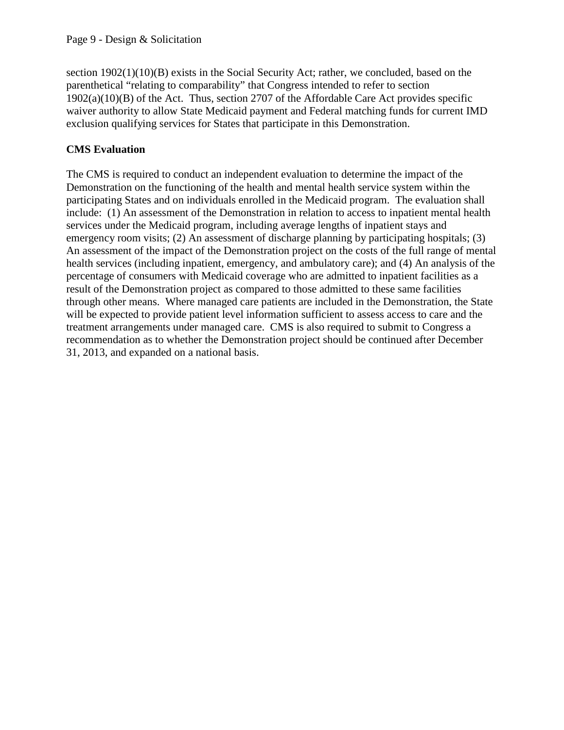section 1902(1)(10)(B) exists in the Social Security Act; rather, we concluded, based on the parenthetical "relating to comparability" that Congress intended to refer to section 1902(a)(10)(B) of the Act. Thus, section 2707 of the Affordable Care Act provides specific waiver authority to allow State Medicaid payment and Federal matching funds for current IMD exclusion qualifying services for States that participate in this Demonstration.

# **CMS Evaluation**

The CMS is required to conduct an independent evaluation to determine the impact of the Demonstration on the functioning of the health and mental health service system within the participating States and on individuals enrolled in the Medicaid program. The evaluation shall include: (1) An assessment of the Demonstration in relation to access to inpatient mental health services under the Medicaid program, including average lengths of inpatient stays and emergency room visits; (2) An assessment of discharge planning by participating hospitals; (3) An assessment of the impact of the Demonstration project on the costs of the full range of mental health services (including inpatient, emergency, and ambulatory care); and (4) An analysis of the percentage of consumers with Medicaid coverage who are admitted to inpatient facilities as a result of the Demonstration project as compared to those admitted to these same facilities through other means. Where managed care patients are included in the Demonstration, the State will be expected to provide patient level information sufficient to assess access to care and the treatment arrangements under managed care. CMS is also required to submit to Congress a recommendation as to whether the Demonstration project should be continued after December 31, 2013, and expanded on a national basis.